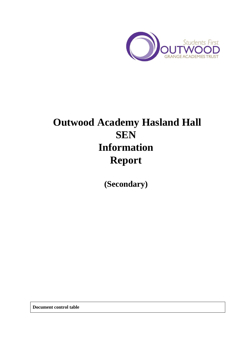

# **Outwood Academy Hasland Hall SEN Information Report**

**(Secondary)**

**Document control table**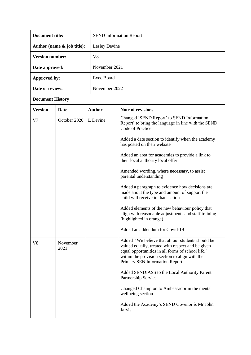| Document title:               | <b>SEND</b> Information Report |  |
|-------------------------------|--------------------------------|--|
| Author (name $\&$ job title): | Lesley Devine                  |  |
| <b>Version number:</b>        | V8                             |  |
| Date approved:                | November 2021                  |  |
| Approved by:                  | Exec Board                     |  |
| Date of review:               | November 2022                  |  |

# **Document History**

| <b>Version</b> | <b>Date</b>      | <b>Author</b> | <b>Note of revisions</b>                                                                                                                                                                                                                        |
|----------------|------------------|---------------|-------------------------------------------------------------------------------------------------------------------------------------------------------------------------------------------------------------------------------------------------|
| V <sub>7</sub> | October 2020     | L Devine      | Changed 'SEND Report' to SEND Information<br>Report' to bring the language in line with the SEND<br>Code of Practice                                                                                                                            |
|                |                  |               | Added a date section to identify when the academy<br>has posted on their website                                                                                                                                                                |
|                |                  |               | Added an area for academies to provide a link to<br>their local authority local offer                                                                                                                                                           |
|                |                  |               | Amended wording, where necessary, to assist<br>parental understanding                                                                                                                                                                           |
|                |                  |               | Added a paragraph to evidence how decisions are<br>made about the type and amount of support the<br>child will receive in that section                                                                                                          |
|                |                  |               | Added elements of the new behaviour policy that<br>align with reasonable adjustments and staff training<br>(highlighted in orange)                                                                                                              |
|                |                  |               | Added an addendum for Covid-19                                                                                                                                                                                                                  |
| V <sub>8</sub> | November<br>2021 |               | Added 'We believe that all our students should be<br>valued equally, treated with respect and be given<br>equal opportunities in all forms of school life.'<br>within the provision section to align with the<br>Primary SEN Information Report |
|                |                  |               | Added SENDIASS to the Local Authority Parent<br>Partnership Service                                                                                                                                                                             |
|                |                  |               | Changed Champion to Ambassador in the mental<br>wellbeing section                                                                                                                                                                               |
|                |                  |               | Added the Academy's SEND Govenor is Mr John<br><b>Jarvis</b>                                                                                                                                                                                    |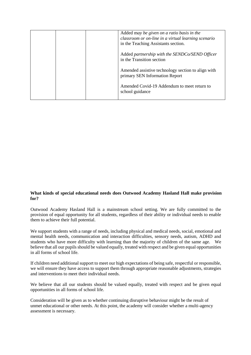| Added may be given on a ratio basis in the<br>classroom or on-line in a virtual learning scenario<br>in the Teaching Assistants section. |
|------------------------------------------------------------------------------------------------------------------------------------------|
| Added partnership with the SENDCo/SEND Officer<br>in the Transition section                                                              |
| Amended assistive technology section to align with<br>primary SEN Information Report                                                     |
| Amended Covid-19 Addendum to meet return to<br>school guidance                                                                           |

# **What kinds of special educational needs does Outwood Academy Hasland Hall make provision for?**

Outwood Academy Hasland Hall is a mainstream school setting. We are fully committed to the provision of equal opportunity for all students, regardless of their ability or individual needs to enable them to achieve their full potential.

We support students with a range of needs, including physical and medical needs, social, emotional and mental health needs, communication and interaction difficulties, sensory needs, autism, ADHD and students who have more difficulty with learning than the majority of children of the same age. We believe that all our pupils should be valued equally, treated with respect and be given equal opportunities in all forms of school life.

If children need additional support to meet our high expectations of being safe, respectful or responsible, we will ensure they have access to support them through appropriate reasonable adjustments, strategies and interventions to meet their individual needs.

We believe that all our students should be valued equally, treated with respect and be given equal opportunities in all forms of school life.

Consideration will be given as to whether continuing disruptive behaviour might be the result of unmet educational or other needs. At this point, the academy will consider whether a multi-agency assessment is necessary.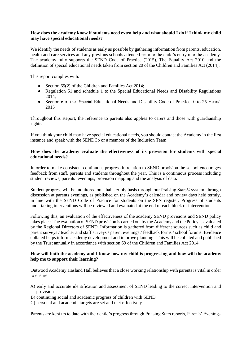# **How does the academy know if students need extra help and what should I do if I think my child may have special educational needs?**

We identify the needs of students as early as possible by gathering information from parents, education, health and care services and any previous schools attended prior to the child's entry into the academy. The academy fully supports the SEND Code of Practice (2015), The Equality Act 2010 and the definition of special educational needs taken from section 20 of the Children and Families Act (2014).

This report complies with:

- Section 69(2) of the Children and Families Act 2014;
- Regulation 51 and schedule 1 to the Special Educational Needs and Disability Regulations 2014;
- Section 6 of the 'Special Educational Needs and Disability Code of Practice: 0 to 25 Years' 2015

Throughout this Report, the reference to parents also applies to carers and those with guardianship rights.

If you think your child may have special educational needs, you should contact the Academy in the first instance and speak with the SENDCo or a member of the Inclusion Team.

# **How does the academy evaluate the effectiveness of its provision for students with special educational needs?**

In order to make consistent continuous progress in relation to SEND provision the school encourages feedback from staff, parents and students throughout the year. This is a continuous process including student reviews, parents' evenings, provision mapping and the analysis of data.

Student progress will be monitored on a half-termly basis through our Praising Stars© system, through discussion at parents evenings, as published on the Academy's calendar and review days held termly, in line with the SEND Code of Practice for students on the SEN register. Progress of students undertaking interventions will be reviewed and evaluated at the end of each block of intervention.

Following this, an evaluation of the effectiveness of the academy SEND provisions and SEND policy takes place. The evaluation of SEND provision is carried out by the Academy and the Policy is evaluated by the Regional Directors of SEND. Information is gathered from different sources such as child and parent surveys / teacher and staff surveys / parent evenings / feedback forms / school forums. Evidence collated helps inform academy development and improve planning. This will be collated and published by the Trust annually in accordance with section 69 of the Children and Families Act 2014.

# **How will both the academy and I know how my child is progressing and how will the academy help me to support their learning?**

Outwood Academy Hasland Hall believes that a close working relationship with parents is vital in order to ensure:

- A) early and accurate identification and assessment of SEND leading to the correct intervention and provision
- B) continuing social and academic progress of children with SEND
- C) personal and academic targets are set and met effectively

Parents are kept up to date with their child's progress through Praising Stars reports, Parents' Evenings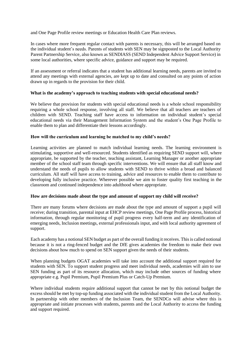and One Page Profile review meetings or Education Health Care Plan reviews.

In cases where more frequent regular contact with parents is necessary, this will be arranged based on the individual student's needs. Parents of students with SEN may be signposted to the Local Authority Parent Partnership Service, also known as SENDIASS (SEND Independent Advice Support Service) in some local authorities, where specific advice, guidance and support may be required.

If an assessment or referral indicates that a student has additional learning needs, parents are invited to attend any meetings with external agencies, are kept up to date and consulted on any points of action drawn up in regards to the provision for their child.

# **What is the academy's approach to teaching students with special educational needs?**

We believe that provision for students with special educational needs is a whole school responsibility requiring a whole school response, involving all staff. We believe that all teachers are teachers of children with SEND. Teaching staff have access to information on individual student's special educational needs via their Management Information System and the student's One Page Profile to enable them to plan and differentiate their lessons accordingly.

# **How will the curriculum and learning be matched to my child's needs?**

Learning activities are planned to match individual learning needs. The learning environment is stimulating, supportive and well-resourced. Students identified as requiring SEND support will, where appropriate, be supported by the teacher, teaching assistant, Learning Manager or another appropriate member of the school staff team through specific interventions. We will ensure that all staff know and understand the needs of pupils to allow students with SEND to thrive within a broad and balanced curriculum. All staff will have access to training, advice and resources to enable them to contribute to developing fully inclusive practice. Wherever possible we aim to foster quality first teaching in the classroom and continued independence into adulthood where appropriate.

# **How are decisions made about the type and amount of support my child will receive?**

There are many forums where decisions are made about the type and amount of support a pupil will receive; during transition, parental input at EHCP review meetings, One Page Profile process, historical information, through regular monitoring of pupil progress every half-term and any identification of emerging needs, Inclusion meetings, external professionals input, and with local authority agreement of support.

Each academy has a notional SEN budget as part of the overall funding it receives. This is called notional because it is not a ring-fenced budget and the DfE gives academies the freedom to make their own decisions about how much to spend on SEN support given the needs of their students.

When planning budgets OGAT academies will take into account the additional support required for students with SEN. To support student progress and meet individual needs, academies will aim to use SEN funding as part of its resource allocation, which may include other sources of funding where appropriate e.g. Pupil Premium, Pupil Premium Plus or Catch-Up Premium.

Where individual students require additional support that cannot be met by this notional budget the excess should be met by top-up funding associated with the individual student from the Local Authority. In partnership with other members of the Inclusion Team, the SENDCo will advise where this is appropriate and initiate processes with students, parents and the Local Authority to access the funding and support required.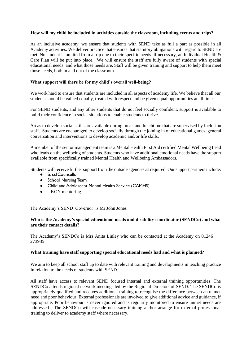# **How will my child be included in activities outside the classroom, including events and trips?**

As an inclusive academy, we ensure that students with SEND take as full a part as possible in all Academy activities. We deliver practice that ensures that statutory obligations with regard to SEND are met. No student is omitted from a trip due to their specific needs. If necessary, an Individual Health & Care Plan will be put into place. We will ensure the staff are fully aware of students with special educational needs, and what those needs are. Staff will be given training and support to help them meet those needs, both in and out of the classroom.

# **What support will there be for my child's overall well-being?**

We work hard to ensure that students are included in all aspects of academy life. We believe that all our students should be valued equally, treated with respect and be given equal opportunities at all times.

For SEND students, and any other students that do not feel socially confident, support is available to build their confidence in social situations to enable students to thrive.

Areas to develop social skills are available during break and lunchtime that are supervised by Inclusion staff. Students are encouraged to develop socially through the joining in of educational games, general conversation and interventions to develop academic and/or life skills.

A member of the senior management team is a Mental Health First Aid certified Mental Wellbeing Lead who leads on the wellbeing of students. Students who have additional emotional needs have the support available from specifically trained Mental Health and Wellbeing Ambassadors.

Students will receive further support from the outside agencies as required. Our support partners include:

- School Counsellor
- School Nursing Team
- Child and Adolescent Mental Health Service (CAMHS)
- IKON mentoring

The Academy's SEND Governor is Mr John Jones

# **Who is the Academy's special educational needs and disability coordinator (SENDCo) and what are their contact details?**

The Academy's SENDCo is Mrs Anita Linley who can be contacted at the Academy on 01246 273985

# **What training have staff supporting special educational needs had and what is planned?**

We aim to keep all school staff up to date with relevant training and developments in teaching practice in relation to the needs of students with SEND.

All staff have access to relevant SEND focused internal and external training opportunities. The SENDCo attends regional network meetings led by the Regional Directors of SEND. The SENDCo is appropriately qualified and receives additional training to recognise the difference between an unmet need and poor behaviour. External professionals are involved to give additional advice and guidance, if appropriate. Poor behaviour is never ignored and is regularly monitored to ensure unmet needs are addressed. The SENDCo will cascade necessary training and/or arrange for external professional training to deliver to academy staff where necessary.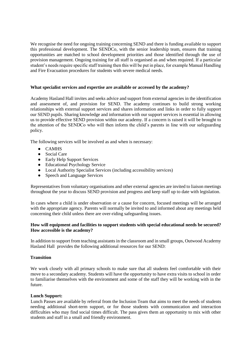We recognise the need for ongoing training concerning SEND and there is funding available to support this professional development. The SENDCo, with the senior leadership team, ensures that training opportunities are matched to school development priorities and those identified through the use of provision management. Ongoing training for all staff is organised as and when required. If a particular student's needs require specific staff training then this will be put in place, for example Manual Handling and Fire Evacuation procedures for students with severe medical needs.

# **What specialist services and expertise are available or accessed by the academy?**

Academy Hasland Hall invites and seeks advice and support from external agencies in the identification and assessment of, and provision for SEND. The academy continues to build strong working relationships with external support services and shares information and links in order to fully support our SEND pupils. Sharing knowledge and information with our support services is essential in allowing us to provide effective SEND provision within our academy. If a concern is raised it will be brought to the attention of the SENDCo who will then inform the child's parents in line with our safeguarding policy.

The following services will be involved as and when is necessary:

- CAMHS
- Social Care
- Early Help Support Services
- Educational Psychology Service
- Local Authority Specialist Services (including accessibility services)
- Speech and Language Services

Representatives from voluntary organisations and other external agencies are invited to liaison meetings throughout the year to discuss SEND provision and progress and keep staff up to date with legislation.

In cases where a child is under observation or a cause for concern, focused meetings will be arranged with the appropriate agency. Parents will normally be invited to and informed about any meetings held concerning their child unless there are over-riding safeguarding issues.

# **How will equipment and facilities to support students with special educational needs be secured? How accessible is the academy?**

In addition to support from teaching assistants in the classroom and in small groups, Outwood Academy Hasland Hall provides the following additional resources for our SEND:

# **Transition**

We work closely with all primary schools to make sure that all students feel comfortable with their move to a secondary academy. Students will have the opportunity to have extra visits to school in order to familiarise themselves with the environment and some of the staff they will be working with in the future.

# **Lunch Support:**

Lunch Passes are available by referral from the Inclusion Team that aims to meet the needs of students needing additional short-term support, or for those students with communication and interaction difficulties who may find social times difficult. The pass gives them an opportunity to mix with other students and staff in a small and friendly environment.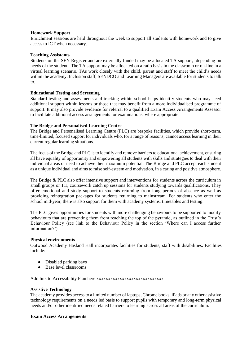# **Homework Support**

Enrichment sessions are held throughout the week to support all students with homework and to give access to ICT when necessary.

### **Teaching Assistants**

Students on the SEN Register and are externally funded may be allocated TA support, depending on needs of the student. The TA support may be allocated on a ratio basis in the classroom or on-line in a virtual learning scenario. TAs work closely with the child, parent and staff to meet the child's needs within the academy. Inclusion staff, SENDCO and Learning Managers are available for students to talk to.

# **Educational Testing and Screening**

Standard testing and assessments and tracking within school helps identify students who may need additional support within lessons or those that may benefit from a more individualised programme of support. It may also provide evidence for referral to a qualified Exam Access Arrangements Assessor to facilitate additional access arrangements for examinations, where appropriate.

#### **The Bridge and Personalised Learning Centre**

The Bridge and Personalised Learning Centre (PLC) are bespoke facilities, which provide short-term, time-limited, focused support for individuals who, for a range of reasons, cannot access learning in their current regular learning situations.

The focus of the Bridge and PLC is to identify and remove barriers to educational achievement, ensuring all have equality of opportunity and empowering all students with skills and strategies to deal with their individual areas of need to achieve their maximum potential. The Bridge and PLC accept each student as a unique individual and aims to raise self-esteem and motivation, in a caring and positive atmosphere.

The Bridge & PLC also offer intensive support and interventions for students across the curriculum in small groups or 1:1, coursework catch up sessions for students studying towards qualifications. They offer emotional and study support to students returning from long periods of absence as well as providing reintegration packages for students returning to mainstream. For students who enter the school mid-year, there is also support for them with academy systems, timetables and testing.

The PLC gives opportunities for students with more challenging behaviours to be supported to modify behaviours that are preventing them from reaching the top of the pyramid, as outlined in the Trust's Behaviour Policy (see link to the Behaviour Policy in the section 'Where can I access further information?').

#### **Physical environments**

Outwood Academy Hasland Hall incorporates facilities for students, staff with disabilities. Facilities include:

- Disabled parking bays
- Base level classrooms

Add link to Accessibility Plan here xxxxxxxxxxxxxxxxxxxxxxxxxxxxx

# **Assistive Technology**

The academy provides access to a limited number of laptops, Chrome books, iPads or any other assistive technology requirements on a needs led basis to support pupils with temporary and long-term physical needs and/or other identified needs related barriers to learning across all areas of the curriculum.

# **Exam Access Arrangements**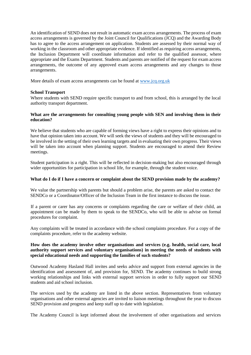An identification of SEND does not result in automatic exam access arrangements. The process of exam access arrangements is governed by the Joint Council for Qualifications (JCQ) and the Awarding Body has to agree to the access arrangement on application. Students are assessed by their normal way of working in the classroom and other appropriate evidence. If identified as requiring access arrangements, the Inclusion Department will coordinate information and refer to the qualified assessor, where appropriate and the Exams Department. Students and parents are notified of the request for exam access arrangements, the outcome of any approved exam access arrangements and any changes to those arrangements.

More details of exam access arrangements can be found at www.jcq.org.uk

# **School Transport**

Where students with SEND require specific transport to and from school, this is arranged by the local authority transport department.

# **What are the arrangements for consulting young people with SEN and involving them in their education?**

We believe that students who are capable of forming views have a right to express their opinions and to have that opinion taken into account. We will seek the views of students and they will be encouraged to be involved in the setting of their own learning targets and in evaluating their own progress. Their views will be taken into account when planning support. Students are encouraged to attend their Review meetings.

Student participation is a right. This will be reflected in decision-making but also encouraged through wider opportunities for participation in school life*,* for example, through the student voice.

# **What do I do if I have a concern or complaint about the SEND provision made by the academy?**

We value the partnership with parents but should a problem arise, the parents are asked to contact the SENDCo or a Coordinator/Officer of the Inclusion Team in the first instance to discuss the issue.

If a parent or carer has any concerns or complaints regarding the care or welfare of their child, an appointment can be made by them to speak to the SENDCo, who will be able to advise on formal procedures for complaint.

Any complaints will be treated in accordance with the school complaints procedure. For a copy of the complaints procedure, refer to the academy website.

# **How does the academy involve other organisations and services (e.g. health, social care, local authority support services and voluntary organisations) in meeting the needs of students with special educational needs and supporting the families of such students?**

Outwood Academy Hasland Hall invites and seeks advice and support from external agencies in the identification and assessment of, and provision for, SEND. The academy continues to build strong working relationships and links with external support services in order to fully support our SEND students and aid school inclusion.

The services used by the academy are listed in the above section. Representatives from voluntary organisations and other external agencies are invited to liaison meetings throughout the year to discuss SEND provision and progress and keep staff up to date with legislation.

The Academy Council is kept informed about the involvement of other organisations and services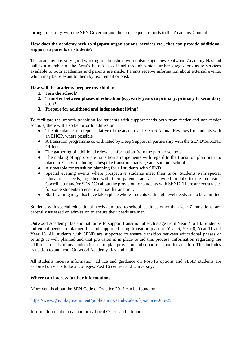through meetings with the SEN Governor and their subsequent reports to the Academy Council.

# **How does the academy seek to signpost organisations, services etc., that can provide additional support to parents or students?**

The academy has very good working relationships with outside agencies. Outwood Academy Hasland hall is a member of the Area's Fair Access Panel through which further suggestions as to services available to both academies and parents are made. Parents receive information about external events, which may be relevant to them by text, email or post.

# **How will the academy prepare my child to:**

- **1. Join the school?**
- **2. Transfer between phases of education (e.g. early years to primary, primary to secondary etc.)?**
- **3. Prepare for adulthood and independent living?**

To facilitate the smooth transition for students with support needs both from feeder and non-feeder schools, there will also be, prior to admission:

- The attendance of a representative of the academy at Year 6 Annual Reviews for students with an EHCP, where possible
- A transition programme co-ordinated by Deep Support in partnership with the SENDCo/SEND **Officer**
- The gathering of additional relevant information from the partner schools
- The making of appropriate transition arrangements with regard to the transition plan put into place in Year 6, including a bespoke transition package and summer school
- A timetable for transition planning for all students with SEND
- Special evening events where prospective students meet their tutor. Students with special educational needs, together with their parents, are also invited to talk to the Inclusion Coordinator and/or SENDCo about the provision for students with SEND. There are extra visits for some students to ensure a smooth transition.
- Staff training may also have taken place where students with high level needs are to be admitted.

Students with special educational needs admitted to school, at times other than year 7 transitions, are carefully assessed on admission to ensure their needs are met.

Outwood Academy Hasland hall aims to support transition at each stage from Year 7 to 13. Students' individual needs are planned for and supported using transition plans in Year 6, Year 8, Year 11 and Year 13. All students with SEND are supported to ensure transition between educational phases or settings is well planned and that provision is in place to aid this process. Information regarding the additional needs of any student is used to plan provision and support a smooth transition. This includes transition to and from Outwood Academy Hasland Hall.

All students receive information, advice and guidance on Post-16 options and SEND students are escorted on visits to local colleges, Post 16 centres and University.

# **Where can I access further information?**

More details about the SEN Code of Practice 2015 can be found on:

<https://www.gov.uk/government/publications/send-code-of-practice-0-to-25>

Information on the local authority Local Offer can be found at: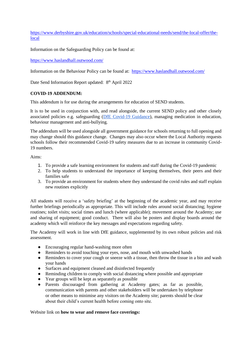[https://www.derbyshire.gov.uk/education/schools/special-educational-needs/send/the-local-offer/the](https://www.derbyshire.gov.uk/education/schools/special-educational-needs/send/the-local-offer/the-local)[local](https://www.derbyshire.gov.uk/education/schools/special-educational-needs/send/the-local-offer/the-local)

Information on the Safeguarding Policy can be found at:

<https://www.haslandhall.outwood.com/>

Information on the Behaviour Policy can be found at: <https://www.haslandhall.outwood.com/>

Date Send Information Report updated: 8<sup>th</sup> April 2022

# **COVID-19 ADDENDUM:**

This addendum is for use during the arrangements for education of SEND students.

It is to be used in conjunction with, and read alongside, the current SEND policy and other closely associated policies e.g. safeguarding [\(DfE Covid-19 Guidance\)](https://www.gov.uk/government/publications/covid-19-safeguarding-in-schools-colleges-and-other-providers), managing medication in education, behaviour management and anti-bullying.

The addendum will be used alongside all government guidance for schools returning to full opening and may change should this guidance change. Changes may also occur where the Local Authority requests schools follow their recommended Covid-19 safety measures due to an increase in community Covid-19 numbers.

Aims:

- 1. To provide a safe learning environment for students and staff during the Covid-19 pandemic
- 2. To help students to understand the importance of keeping themselves, their peers and their families safe
- 3. To provide an environment for students where they understand the covid rules and staff explain new routines explicitly

All students will receive a 'safety briefing' at the beginning of the academic year, and may receive further briefings periodically as appropriate. This will include rules around social distancing; hygiene routines; toilet visits; social times and lunch (where applicable); movement around the Academy; use and sharing of equipment; good conduct. There will also be posters and display boards around the academy which will reinforce the key messages and expectations regarding safety.

The Academy will work in line with DfE guidance, supplemented by its own robust policies and risk assessment.

- Encouraging regular hand-washing more often
- Reminders to avoid touching your eyes, nose, and mouth with unwashed hands
- Reminders to cover your cough or sneeze with a tissue, then throw the tissue in a bin and wash your hands
- Surfaces and equipment cleaned and disinfected frequently
- Reminding children to comply with social distancing where possible and appropriate
- Year groups will be kept as separately as possible
- Parents discouraged from gathering at Academy gates; as far as possible, communication with parents and other stakeholders will be undertaken by telephone or other means to minimise any visitors on the Academy site; parents should be clear about their child's current health before coming onto site.

# Website link on **how to wear and remove face coverings:**